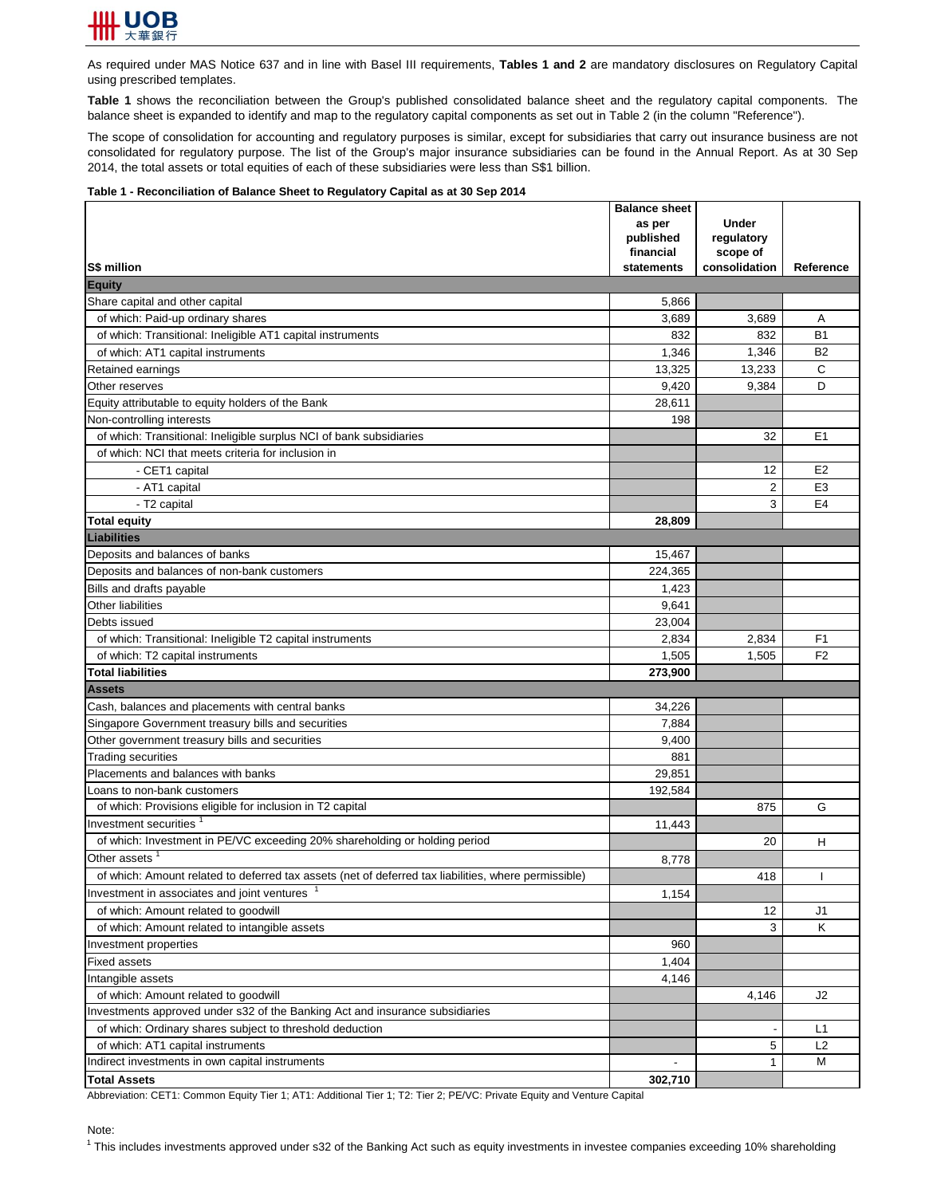

As required under MAS Notice 637 and in line with Basel III requirements, **Tables 1 and 2** are mandatory disclosures on Regulatory Capital using prescribed templates.

**Table 1** shows the reconciliation between the Group's published consolidated balance sheet and the regulatory capital components. The balance sheet is expanded to identify and map to the regulatory capital components as set out in Table 2 (in the column "Reference").

The scope of consolidation for accounting and regulatory purposes is similar, except for subsidiaries that carry out insurance business are not consolidated for regulatory purpose. The list of the Group's major insurance subsidiaries can be found in the Annual Report. As at 30 Sep 2014, the total assets or total equities of each of these subsidiaries were less than S\$1 billion.

## **Table 1 - Reconciliation of Balance Sheet to Regulatory Capital as at 30 Sep 2014**

|                                                                                                      | <b>Balance sheet</b> |                            |                |
|------------------------------------------------------------------------------------------------------|----------------------|----------------------------|----------------|
|                                                                                                      | as per<br>published  | <b>Under</b><br>regulatory |                |
|                                                                                                      | financial            | scope of                   |                |
| S\$ million                                                                                          | statements           | consolidation              | Reference      |
| <b>Equity</b>                                                                                        |                      |                            |                |
| Share capital and other capital                                                                      | 5,866                |                            |                |
| of which: Paid-up ordinary shares                                                                    | 3,689                | 3,689                      | A              |
| of which: Transitional: Ineligible AT1 capital instruments                                           | 832                  | 832                        | <b>B1</b>      |
| of which: AT1 capital instruments                                                                    | 1,346                | 1,346                      | <b>B2</b>      |
| Retained earnings                                                                                    | 13,325               | 13,233                     | $\mathsf{C}$   |
| Other reserves                                                                                       | 9,420                | 9,384                      | D              |
| Equity attributable to equity holders of the Bank                                                    | 28,611               |                            |                |
| Non-controlling interests                                                                            | 198                  |                            |                |
| of which: Transitional: Ineligible surplus NCI of bank subsidiaries                                  |                      | 32                         | E <sub>1</sub> |
| of which: NCI that meets criteria for inclusion in                                                   |                      |                            |                |
| - CET1 capital                                                                                       |                      | 12                         | E <sub>2</sub> |
| - AT1 capital                                                                                        |                      | $\overline{2}$             | E <sub>3</sub> |
| - T2 capital                                                                                         |                      | 3                          | E <sub>4</sub> |
| <b>Total equity</b>                                                                                  | 28,809               |                            |                |
| Liabilities                                                                                          |                      |                            |                |
| Deposits and balances of banks                                                                       | 15,467               |                            |                |
| Deposits and balances of non-bank customers                                                          | 224,365              |                            |                |
| Bills and drafts payable                                                                             | 1,423                |                            |                |
| Other liabilities                                                                                    | 9,641                |                            |                |
| Debts issued                                                                                         | 23,004               |                            |                |
| of which: Transitional: Ineligible T2 capital instruments                                            | 2,834                | 2,834                      | F <sub>1</sub> |
| of which: T2 capital instruments                                                                     | 1,505                | 1,505                      | F <sub>2</sub> |
| <b>Total liabilities</b>                                                                             | 273,900              |                            |                |
| <b>Assets</b>                                                                                        |                      |                            |                |
| Cash, balances and placements with central banks                                                     | 34,226               |                            |                |
| Singapore Government treasury bills and securities                                                   | 7,884                |                            |                |
| Other government treasury bills and securities                                                       | 9,400                |                            |                |
| <b>Trading securities</b>                                                                            | 881                  |                            |                |
| Placements and balances with banks                                                                   | 29,851               |                            |                |
| Loans to non-bank customers                                                                          | 192,584              |                            |                |
| of which: Provisions eligible for inclusion in T2 capital                                            |                      | 875                        | G              |
| Investment securities <sup>1</sup>                                                                   | 11,443               |                            |                |
| of which: Investment in PE/VC exceeding 20% shareholding or holding period                           |                      | 20                         | Н              |
| Other assets                                                                                         | 8,778                |                            |                |
| of which: Amount related to deferred tax assets (net of deferred tax liabilities, where permissible) |                      | 418                        |                |
| Investment in associates and joint ventures                                                          | 1,154                |                            |                |
| of which: Amount related to goodwill                                                                 |                      | 12                         | J <sub>1</sub> |
| of which: Amount related to intangible assets                                                        |                      | 3                          | K.             |
| Investment properties                                                                                | 960                  |                            |                |
| <b>Fixed assets</b>                                                                                  | 1,404                |                            |                |
| Intangible assets                                                                                    | 4,146                |                            |                |
| of which: Amount related to goodwill                                                                 |                      | 4,146                      | J2             |
| Investments approved under s32 of the Banking Act and insurance subsidiaries                         |                      |                            |                |
| of which: Ordinary shares subject to threshold deduction                                             |                      |                            | L1             |
| of which: AT1 capital instruments                                                                    |                      | 5                          | L2             |
| Indirect investments in own capital instruments                                                      |                      | 1                          | M              |
| <b>Total Assets</b>                                                                                  | 302,710              |                            |                |

Abbreviation: CET1: Common Equity Tier 1; AT1: Additional Tier 1; T2: Tier 2; PE/VC: Private Equity and Venture Capital

## Note:

 $1$  This includes investments approved under s32 of the Banking Act such as equity investments in investee companies exceeding 10% shareholding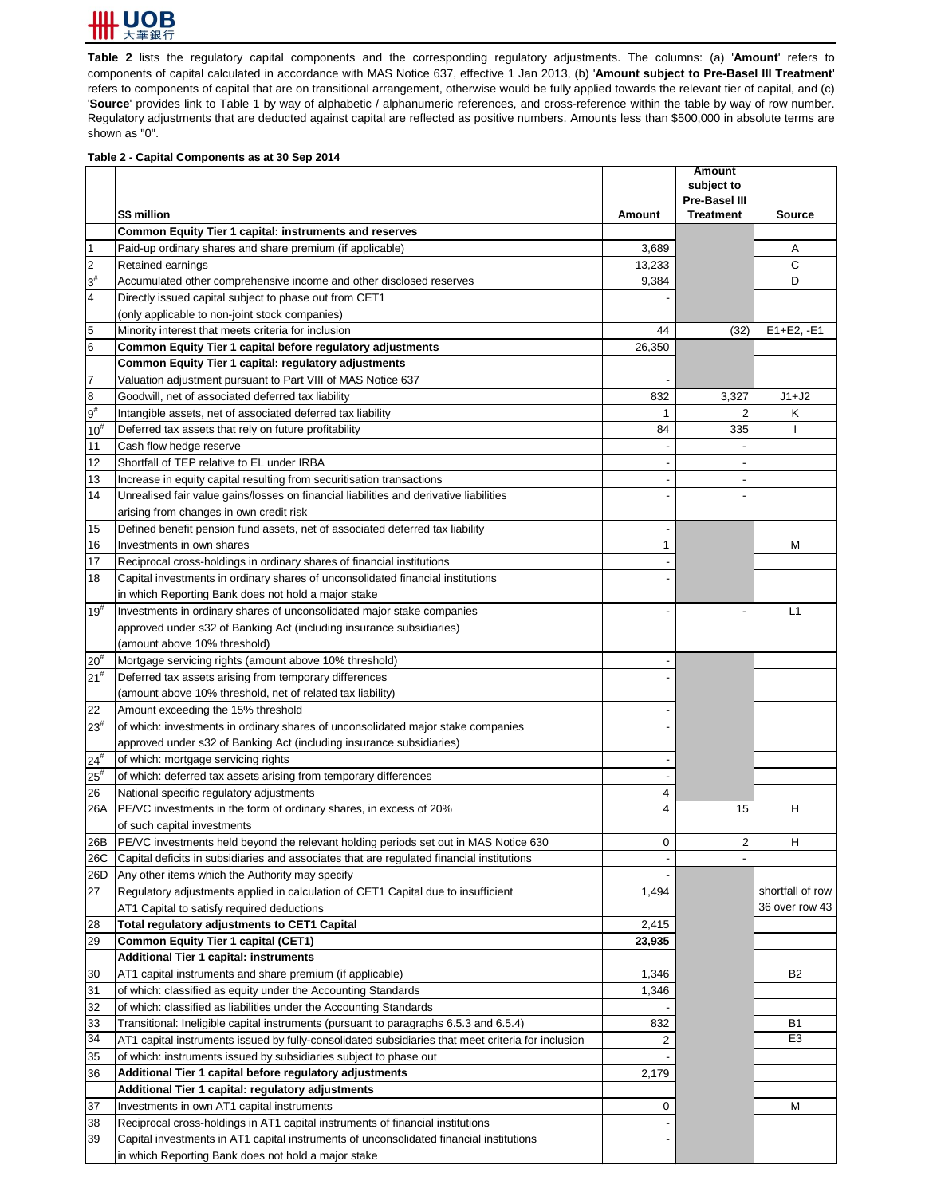

**Table 2** lists the regulatory capital components and the corresponding regulatory adjustments. The columns: (a) '**Amount**' refers to components of capital calculated in accordance with MAS Notice 637, effective 1 Jan 2013, (b) '**Amount subject to Pre-Basel III Treatment**' refers to components of capital that are on transitional arrangement, otherwise would be fully applied towards the relevant tier of capital, and (c) 'Source' provides link to Table 1 by way of alphabetic / alphanumeric references, and cross-reference within the table by way of row number. Regulatory adjustments that are deducted against capital are reflected as positive numbers. Amounts less than \$500,000 in absolute terms are shown as "0".

## **Table 2 - Capital Components as at 30 Sep 2014**

|                         | <b>S\$ million</b>                                                                                 | <b>Amount</b> | <b>Amount</b><br>subject to<br><b>Pre-Basel III</b><br><b>Treatment</b> | <b>Source</b>    |
|-------------------------|----------------------------------------------------------------------------------------------------|---------------|-------------------------------------------------------------------------|------------------|
|                         | <b>Common Equity Tier 1 capital: instruments and reserves</b>                                      |               |                                                                         |                  |
| $\mathbf 1$             | Paid-up ordinary shares and share premium (if applicable)                                          | 3,689         |                                                                         | Α                |
| $\overline{2}$          | Retained earnings                                                                                  | 13,233        |                                                                         | $\mathsf{C}$     |
| $3^{\sharp}$            | Accumulated other comprehensive income and other disclosed reserves                                | 9,384         |                                                                         | D                |
| $\overline{\mathbf{4}}$ | Directly issued capital subject to phase out from CET1                                             |               |                                                                         |                  |
|                         | (only applicable to non-joint stock companies)                                                     |               |                                                                         |                  |
| 5                       | Minority interest that meets criteria for inclusion                                                | 44            | (32)                                                                    | $E1 + E2, -E1$   |
| 6                       | Common Equity Tier 1 capital before regulatory adjustments                                         | 26,350        |                                                                         |                  |
|                         | <b>Common Equity Tier 1 capital: regulatory adjustments</b>                                        |               |                                                                         |                  |
| $\overline{7}$          | Valuation adjustment pursuant to Part VIII of MAS Notice 637                                       |               |                                                                         |                  |
| 8                       | Goodwill, net of associated deferred tax liability                                                 | 832           | 3,327                                                                   | $J1+J2$          |
| $9^{\rm \#}$            | Intangible assets, net of associated deferred tax liability                                        | 1             | 2                                                                       | K                |
| $10^{#}$                | Deferred tax assets that rely on future profitability                                              | 84            | 335                                                                     |                  |
| 11                      | Cash flow hedge reserve                                                                            |               |                                                                         |                  |
| 12                      | Shortfall of TEP relative to EL under IRBA                                                         |               |                                                                         |                  |
| 13                      | Increase in equity capital resulting from securitisation transactions                              |               |                                                                         |                  |
| 14                      | Unrealised fair value gains/losses on financial liabilities and derivative liabilities             |               |                                                                         |                  |
|                         | arising from changes in own credit risk                                                            |               |                                                                         |                  |
| 15                      | Defined benefit pension fund assets, net of associated deferred tax liability                      |               |                                                                         |                  |
| 16                      | Investments in own shares                                                                          |               |                                                                         | M                |
| 17                      | Reciprocal cross-holdings in ordinary shares of financial institutions                             |               |                                                                         |                  |
| 18                      | Capital investments in ordinary shares of unconsolidated financial institutions                    |               |                                                                         |                  |
|                         | in which Reporting Bank does not hold a major stake                                                |               |                                                                         |                  |
| $19^{#}$                | Investments in ordinary shares of unconsolidated major stake companies                             |               |                                                                         | L1               |
|                         | approved under s32 of Banking Act (including insurance subsidiaries)                               |               |                                                                         |                  |
|                         | (amount above 10% threshold)                                                                       |               |                                                                         |                  |
| $20^{#}$                | Mortgage servicing rights (amount above 10% threshold)                                             |               |                                                                         |                  |
| $21^{#}$                | Deferred tax assets arising from temporary differences                                             |               |                                                                         |                  |
|                         | (amount above 10% threshold, net of related tax liability)                                         |               |                                                                         |                  |
| 22                      | Amount exceeding the 15% threshold                                                                 |               |                                                                         |                  |
| $23^{#}$                | of which: investments in ordinary shares of unconsolidated major stake companies                   |               |                                                                         |                  |
|                         | approved under s32 of Banking Act (including insurance subsidiaries)                               |               |                                                                         |                  |
| $24^{#}$                | of which: mortgage servicing rights                                                                |               |                                                                         |                  |
| $25^{#}$                | of which: deferred tax assets arising from temporary differences                                   |               |                                                                         |                  |
| 26                      | National specific regulatory adjustments                                                           | 4             |                                                                         |                  |
| 26A                     | PE/VC investments in the form of ordinary shares, in excess of 20%                                 | 4             | 15                                                                      | H                |
|                         | of such capital investments                                                                        |               |                                                                         |                  |
| 26B                     | PE/VC investments held beyond the relevant holding periods set out in MAS Notice 630               | 0             | 2                                                                       | H                |
| 26C                     | Capital deficits in subsidiaries and associates that are regulated financial institutions          |               |                                                                         |                  |
| 26D                     | Any other items which the Authority may specify                                                    |               |                                                                         |                  |
| 27                      | Regulatory adjustments applied in calculation of CET1 Capital due to insufficient                  | 1,494         |                                                                         | shortfall of row |
|                         | AT1 Capital to satisfy required deductions                                                         |               |                                                                         | 36 over row 43   |
| 28                      | <b>Total regulatory adjustments to CET1 Capital</b>                                                | 2,415         |                                                                         |                  |
| 29                      | <b>Common Equity Tier 1 capital (CET1)</b>                                                         | 23,935        |                                                                         |                  |
|                         | <b>Additional Tier 1 capital: instruments</b>                                                      |               |                                                                         |                  |
| 30                      | AT1 capital instruments and share premium (if applicable)                                          | 1,346         |                                                                         | <b>B2</b>        |
| 31                      | of which: classified as equity under the Accounting Standards                                      | 1,346         |                                                                         |                  |
| 32                      | of which: classified as liabilities under the Accounting Standards                                 |               |                                                                         |                  |
| 33                      | Transitional: Ineligible capital instruments (pursuant to paragraphs 6.5.3 and 6.5.4)              | 832           |                                                                         | <b>B1</b>        |
| 34                      | AT1 capital instruments issued by fully-consolidated subsidiaries that meet criteria for inclusion | 2             |                                                                         | E <sub>3</sub>   |
| 35                      | of which: instruments issued by subsidiaries subject to phase out                                  |               |                                                                         |                  |
| 36                      | Additional Tier 1 capital before regulatory adjustments                                            | 2,179         |                                                                         |                  |
|                         | Additional Tier 1 capital: regulatory adjustments                                                  |               |                                                                         |                  |
| 37                      | Investments in own AT1 capital instruments                                                         | 0             |                                                                         | M                |
| 38                      | Reciprocal cross-holdings in AT1 capital instruments of financial institutions                     |               |                                                                         |                  |
| 39                      | Capital investments in AT1 capital instruments of unconsolidated financial institutions            |               |                                                                         |                  |
|                         | in which Reporting Bank does not hold a major stake                                                |               |                                                                         |                  |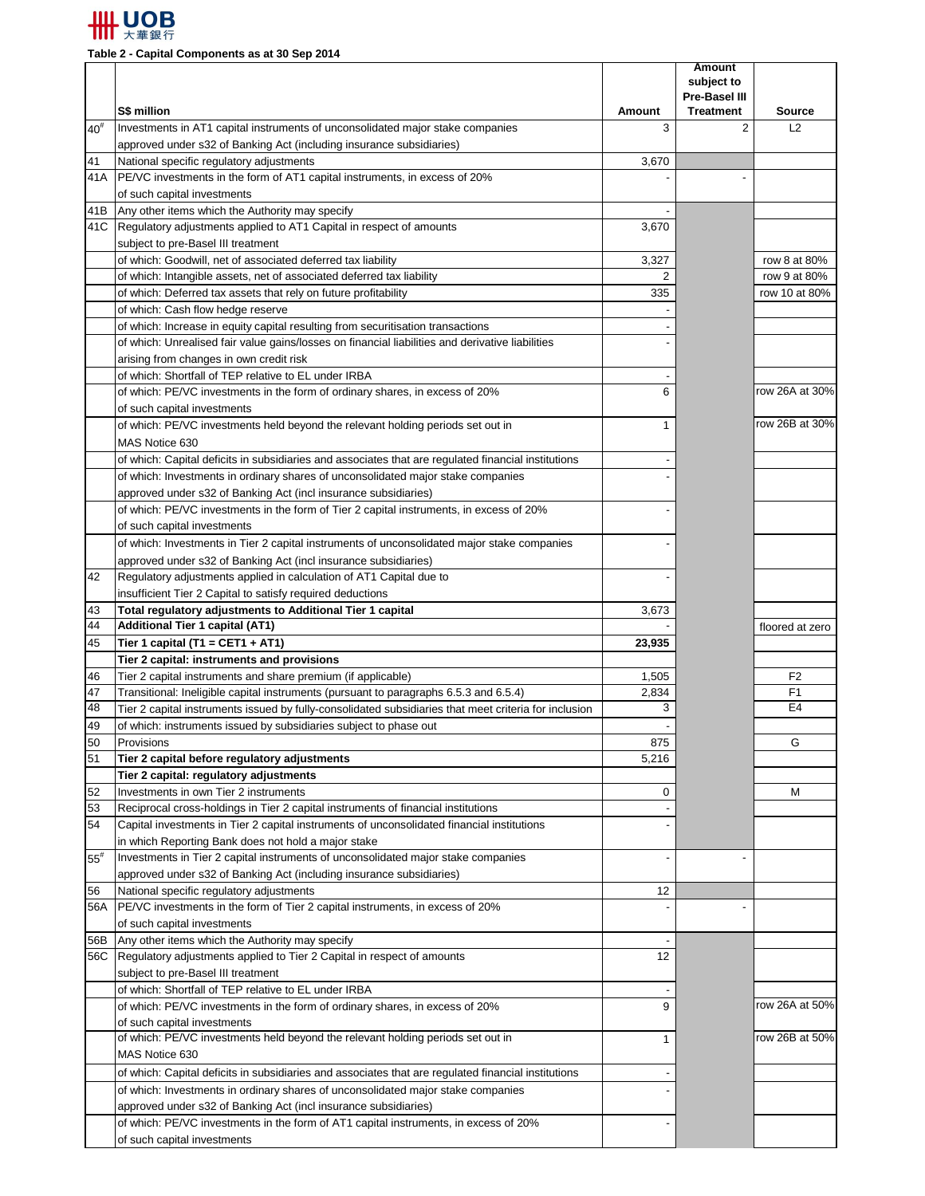

**Table 2 - Capital Components as at 30 Sep 2014**

|                   |                                                                                                       |               | <b>Amount</b><br>subject to |                                  |
|-------------------|-------------------------------------------------------------------------------------------------------|---------------|-----------------------------|----------------------------------|
|                   |                                                                                                       |               | <b>Pre-Basel III</b>        |                                  |
|                   | S\$ million                                                                                           | <b>Amount</b> | <b>Treatment</b>            | <b>Source</b>                    |
| $40^{\texttt{#}}$ | Investments in AT1 capital instruments of unconsolidated major stake companies                        | 3             | 2                           | L2                               |
|                   | approved under s32 of Banking Act (including insurance subsidiaries)                                  |               |                             |                                  |
| 41                | National specific regulatory adjustments                                                              | 3,670         |                             |                                  |
| 41A               | PE/VC investments in the form of AT1 capital instruments, in excess of 20%                            |               |                             |                                  |
|                   | of such capital investments                                                                           |               |                             |                                  |
| 41B               | Any other items which the Authority may specify                                                       |               |                             |                                  |
| 41C               | Regulatory adjustments applied to AT1 Capital in respect of amounts                                   | 3,670         |                             |                                  |
|                   | subject to pre-Basel III treatment<br>of which: Goodwill, net of associated deferred tax liability    | 3,327         |                             | row 8 at 80%                     |
|                   | of which: Intangible assets, net of associated deferred tax liability                                 |               |                             | row 9 at 80%                     |
|                   | of which: Deferred tax assets that rely on future profitability                                       | 335           |                             | row 10 at 80%                    |
|                   | of which: Cash flow hedge reserve                                                                     |               |                             |                                  |
|                   | of which: Increase in equity capital resulting from securitisation transactions                       |               |                             |                                  |
|                   | of which: Unrealised fair value gains/losses on financial liabilities and derivative liabilities      |               |                             |                                  |
|                   | arising from changes in own credit risk                                                               |               |                             |                                  |
|                   | of which: Shortfall of TEP relative to EL under IRBA                                                  |               |                             |                                  |
|                   | of which: PE/VC investments in the form of ordinary shares, in excess of 20%                          | 6             |                             | row 26A at 30%                   |
|                   | of such capital investments                                                                           |               |                             |                                  |
|                   | of which: PE/VC investments held beyond the relevant holding periods set out in                       |               |                             | row 26B at 30%                   |
|                   | MAS Notice 630                                                                                        |               |                             |                                  |
|                   | of which: Capital deficits in subsidiaries and associates that are regulated financial institutions   |               |                             |                                  |
|                   | of which: Investments in ordinary shares of unconsolidated major stake companies                      |               |                             |                                  |
|                   | approved under s32 of Banking Act (incl insurance subsidiaries)                                       |               |                             |                                  |
|                   | of which: PE/VC investments in the form of Tier 2 capital instruments, in excess of 20%               |               |                             |                                  |
|                   | of such capital investments                                                                           |               |                             |                                  |
|                   | of which: Investments in Tier 2 capital instruments of unconsolidated major stake companies           |               |                             |                                  |
|                   | approved under s32 of Banking Act (incl insurance subsidiaries)                                       |               |                             |                                  |
| 42                | Regulatory adjustments applied in calculation of AT1 Capital due to                                   |               |                             |                                  |
|                   | insufficient Tier 2 Capital to satisfy required deductions                                            |               |                             |                                  |
| 43                | Total regulatory adjustments to Additional Tier 1 capital                                             | 3,673         |                             |                                  |
| 44                | <b>Additional Tier 1 capital (AT1)</b>                                                                |               |                             | floored at zero                  |
| 45                | Tier 1 capital (T1 = CET1 + AT1)                                                                      | 23,935        |                             |                                  |
|                   | Tier 2 capital: instruments and provisions                                                            |               |                             |                                  |
| 46                | Tier 2 capital instruments and share premium (if applicable)                                          | 1,505         |                             | F <sub>2</sub>                   |
| 47<br>48          | Transitional: Ineligible capital instruments (pursuant to paragraphs 6.5.3 and 6.5.4)                 | 2,834<br>3    |                             | F <sub>1</sub><br>E <sub>4</sub> |
|                   | Tier 2 capital instruments issued by fully-consolidated subsidiaries that meet criteria for inclusion |               |                             |                                  |
| 49<br>50          | of which: instruments issued by subsidiaries subject to phase out<br>Provisions                       |               |                             | G                                |
| 51                | Tier 2 capital before regulatory adjustments                                                          | 875<br>5,216  |                             |                                  |
|                   | Tier 2 capital: regulatory adjustments                                                                |               |                             |                                  |
| 52                | Investments in own Tier 2 instruments                                                                 | 0             |                             | M                                |
| 53                | Reciprocal cross-holdings in Tier 2 capital instruments of financial institutions                     |               |                             |                                  |
| 54                | Capital investments in Tier 2 capital instruments of unconsolidated financial institutions            |               |                             |                                  |
|                   | in which Reporting Bank does not hold a major stake                                                   |               |                             |                                  |
| $55^{\rm \#}$     | Investments in Tier 2 capital instruments of unconsolidated major stake companies                     |               |                             |                                  |
|                   | approved under s32 of Banking Act (including insurance subsidiaries)                                  |               |                             |                                  |
| 56                | National specific regulatory adjustments                                                              | 12            |                             |                                  |
| 56A               | PE/VC investments in the form of Tier 2 capital instruments, in excess of 20%                         |               |                             |                                  |
|                   | of such capital investments                                                                           |               |                             |                                  |
| 56B               | Any other items which the Authority may specify                                                       |               |                             |                                  |
| 56C               | Regulatory adjustments applied to Tier 2 Capital in respect of amounts                                | 12            |                             |                                  |
|                   | subject to pre-Basel III treatment                                                                    |               |                             |                                  |
|                   | of which: Shortfall of TEP relative to EL under IRBA                                                  |               |                             |                                  |
|                   | of which: PE/VC investments in the form of ordinary shares, in excess of 20%                          | 9             |                             | row 26A at 50%                   |
|                   | of such capital investments                                                                           |               |                             |                                  |
|                   | of which: PE/VC investments held beyond the relevant holding periods set out in                       |               |                             | row 26B at 50%                   |
|                   | MAS Notice 630                                                                                        |               |                             |                                  |
|                   | of which: Capital deficits in subsidiaries and associates that are regulated financial institutions   |               |                             |                                  |
|                   | of which: Investments in ordinary shares of unconsolidated major stake companies                      |               |                             |                                  |
|                   | approved under s32 of Banking Act (incl insurance subsidiaries)                                       |               |                             |                                  |
|                   | of which: PE/VC investments in the form of AT1 capital instruments, in excess of 20%                  |               |                             |                                  |
|                   | of such capital investments                                                                           |               |                             |                                  |